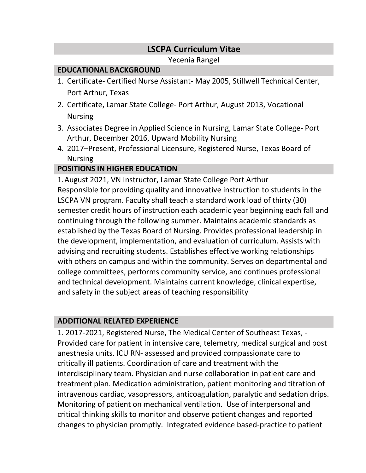# **LSCPA Curriculum Vitae**

Yecenia Rangel

### **EDUCATIONAL BACKGROUND**

- 1. Certificate- Certified Nurse Assistant- May 2005, Stillwell Technical Center, Port Arthur, Texas
- 2. Certificate, Lamar State College- Port Arthur, August 2013, Vocational Nursing
- 3. Associates Degree in Applied Science in Nursing, Lamar State College- Port Arthur, December 2016, Upward Mobility Nursing
- 4. 2017–Present, Professional Licensure, Registered Nurse, Texas Board of Nursing

## **POSITIONS IN HIGHER EDUCATION**

1.August 2021, VN Instructor, Lamar State College Port Arthur Responsible for providing quality and innovative instruction to students in the LSCPA VN program. Faculty shall teach a standard work load of thirty (30) semester credit hours of instruction each academic year beginning each fall and continuing through the following summer. Maintains academic standards as established by the Texas Board of Nursing. Provides professional leadership in the development, implementation, and evaluation of curriculum. Assists with advising and recruiting students. Establishes effective working relationships with others on campus and within the community. Serves on departmental and college committees, performs community service, and continues professional and technical development. Maintains current knowledge, clinical expertise, and safety in the subject areas of teaching responsibility

#### **ADDITIONAL RELATED EXPERIENCE**

1. 2017-2021, Registered Nurse, The Medical Center of Southeast Texas, - Provided care for patient in intensive care, telemetry, medical surgical and post anesthesia units. ICU RN- assessed and provided compassionate care to critically ill patients. Coordination of care and treatment with the interdisciplinary team. Physician and nurse collaboration in patient care and treatment plan. Medication administration, patient monitoring and titration of intravenous cardiac, vasopressors, anticoagulation, paralytic and sedation drips. Monitoring of patient on mechanical ventilation. Use of interpersonal and critical thinking skills to monitor and observe patient changes and reported changes to physician promptly. Integrated evidence based-practice to patient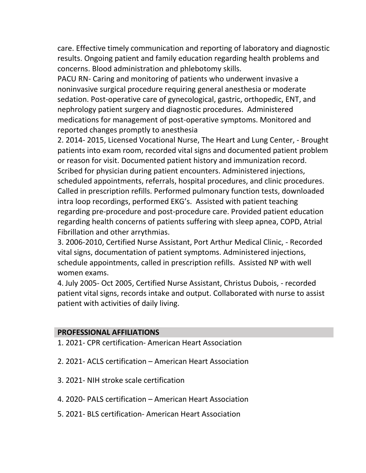care. Effective timely communication and reporting of laboratory and diagnostic results. Ongoing patient and family education regarding health problems and concerns. Blood administration and phlebotomy skills.

PACU RN- Caring and monitoring of patients who underwent invasive a noninvasive surgical procedure requiring general anesthesia or moderate sedation. Post-operative care of gynecological, gastric, orthopedic, ENT, and nephrology patient surgery and diagnostic procedures. Administered medications for management of post-operative symptoms. Monitored and reported changes promptly to anesthesia

2. 2014- 2015, Licensed Vocational Nurse, The Heart and Lung Center, - Brought patients into exam room, recorded vital signs and documented patient problem or reason for visit. Documented patient history and immunization record. Scribed for physician during patient encounters. Administered injections, scheduled appointments, referrals, hospital procedures, and clinic procedures. Called in prescription refills. Performed pulmonary function tests, downloaded intra loop recordings, performed EKG's. Assisted with patient teaching regarding pre-procedure and post-procedure care. Provided patient education regarding health concerns of patients suffering with sleep apnea, COPD, Atrial Fibrillation and other arrythmias.

3. 2006-2010, Certified Nurse Assistant, Port Arthur Medical Clinic, - Recorded vital signs, documentation of patient symptoms. Administered injections, schedule appointments, called in prescription refills. Assisted NP with well women exams.

4. July 2005- Oct 2005, Certified Nurse Assistant, Christus Dubois, - recorded patient vital signs, records intake and output. Collaborated with nurse to assist patient with activities of daily living.

#### **PROFESSIONAL AFFILIATIONS**

- 1. 2021- CPR certification- American Heart Association
- 2. 2021- ACLS certification American Heart Association
- 3. 2021- NIH stroke scale certification
- 4. 2020- PALS certification American Heart Association
- 5. 2021- BLS certification- American Heart Association